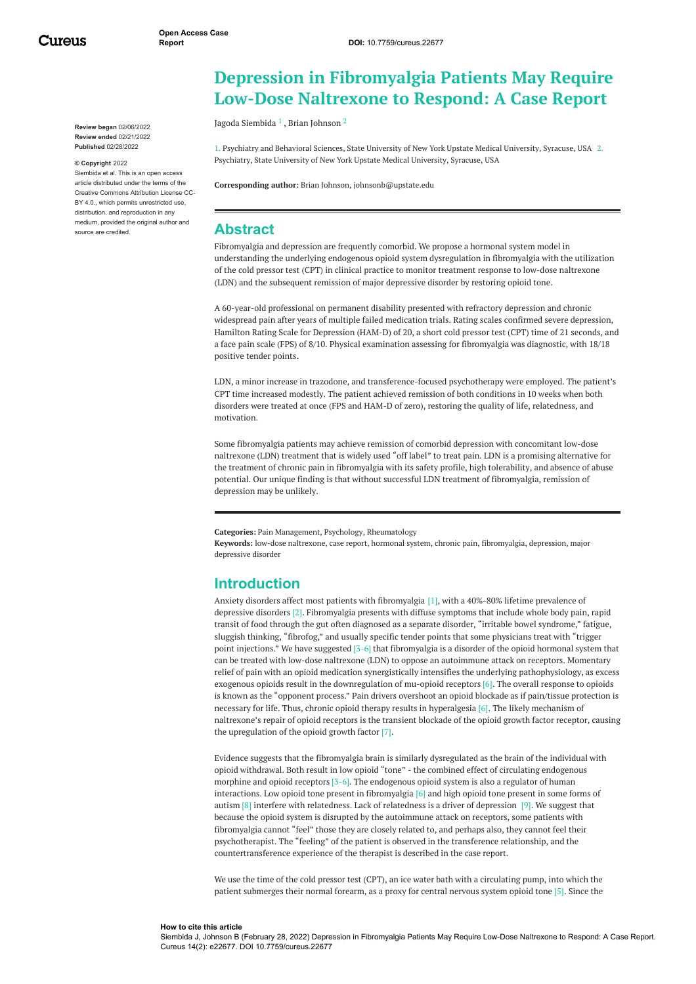Cureus

**Review began** 02/06/2022 **Review ended** 02/21/2022 **Published** 02/28/2022

#### **© Copyright** 2022

Siembida et al. This is an open access article distributed under the terms of the Creative Commons Attribution License CC-BY 4.0., which permits unrestricted use, distribution, and reproduction in any medium, provided the original author and source are credited.

# **Depression in Fibromyalgia Patients May Require Low-Dose Naltrexone to Respond: A Case Report**

Jagoda [Siembida](https://www.cureus.com/users/326918-jagoda-siembida) <sup>1</sup> , Brian [Johnson](https://www.cureus.com/users/20949-brian-johnson) <sup>2</sup>

1. Psychiatry and Behavioral Sciences, State University of New York Upstate Medical University, Syracuse, USA 2. Psychiatry, State University of New York Upstate Medical University, Syracuse, USA

**Corresponding author:** Brian Johnson, johnsonb@upstate.edu

# **Abstract**

Fibromyalgia and depression are frequently comorbid. We propose a hormonal system model in understanding the underlying endogenous opioid system dysregulation in fibromyalgia with the utilization of the cold pressor test (CPT) in clinical practice to monitor treatment response to low-dose naltrexone (LDN) and the subsequent remission of major depressive disorder by restoring opioid tone.

A 60-year-old professional on permanent disability presented with refractory depression and chronic widespread pain after years of multiple failed medication trials. Rating scales confirmed severe depression, Hamilton Rating Scale for Depression (HAM-D) of 20, a short cold pressor test (CPT) time of 21 seconds, and a face pain scale (FPS) of 8/10. Physical examination assessing for fibromyalgia was diagnostic, with 18/18 positive tender points.

LDN, a minor increase in trazodone, and transference-focused psychotherapy were employed. The patient's CPT time increased modestly. The patient achieved remission of both conditions in 10 weeks when both disorders were treated at once (FPS and HAM-D of zero), restoring the quality of life, relatedness, and motivation.

Some fibromyalgia patients may achieve remission of comorbid depression with concomitant low-dose naltrexone (LDN) treatment that is widely used "off label" to treat pain. LDN is a promising alternative for the treatment of chronic pain in fibromyalgia with its safety profile, high tolerability, and absence of abuse potential. Our unique finding is that without successful LDN treatment of fibromyalgia, remission of depression may be unlikely.

**Categories:** Pain Management, Psychology, Rheumatology

**Keywords:** low-dose naltrexone, case report, hormonal system, chronic pain, fibromyalgia, depression, major depressive disorder

# **Introduction**

Anxiety disorders affect most patients with fibromyalgia [1], with a 40%-80% lifetime prevalence of depressive disorders [2]. Fibromyalgia presents with diffuse symptoms that include whole body pain, rapid transit of food through the gut often diagnosed as a separate disorder, "irritable bowel syndrome," fatigue, sluggish thinking, "fibrofog," and usually specific tender points that some physicians treat with "trigger point injections." We have suggested [3-6] that fibromyalgia is a disorder of the opioid hormonal system that can be treated with low-dose naltrexone (LDN) to oppose an autoimmune attack on receptors. Momentary relief of pain with an opioid medication synergistically intensifies the underlying pathophysiology, as excess exogenous opioids result in the downregulation of mu-opioid receptors [6]. The overall response to opioids is known as the "opponent process." Pain drivers overshoot an opioid blockade as if pain/tissue protection is necessary for life. Thus, chronic opioid therapy results in hyperalgesia [6]. The likely mechanism of naltrexone's repair of opioid receptors is the transient blockade of the opioid growth factor receptor, causing the upregulation of the opioid growth factor [7].

Evidence suggests that the fibromyalgia brain is similarly dysregulated as the brain of the individual with opioid withdrawal. Both result in low opioid "tone" - the combined effect of circulating endogenous morphine and opioid receptors [3-6]. The endogenous opioid system is also a regulator of human interactions. Low opioid tone present in fibromyalgia [6] and high opioid tone present in some forms of autism  $[8]$  interfere with relatedness. Lack of relatedness is a driver of depression  $[9]$ . We suggest that because the opioid system is disrupted by the autoimmune attack on receptors, some patients with fibromyalgia cannot "feel" those they are closely related to, and perhaps also, they cannot feel their psychotherapist. The "feeling" of the patient is observed in the transference relationship, and the countertransference experience of the therapist is described in the case report.

We use the time of the cold pressor test (CPT), an ice water bath with a circulating pump, into which the patient submerges their normal forearm, as a proxy for central nervous system opioid tone [5]. Since the

#### **How to cite this article**

Siembida J, Johnson B (February 28, 2022) Depression in Fibromyalgia Patients May Require Low-Dose Naltrexone to Respond: A Case Report. Cureus 14(2): e22677. DOI 10.7759/cureus.22677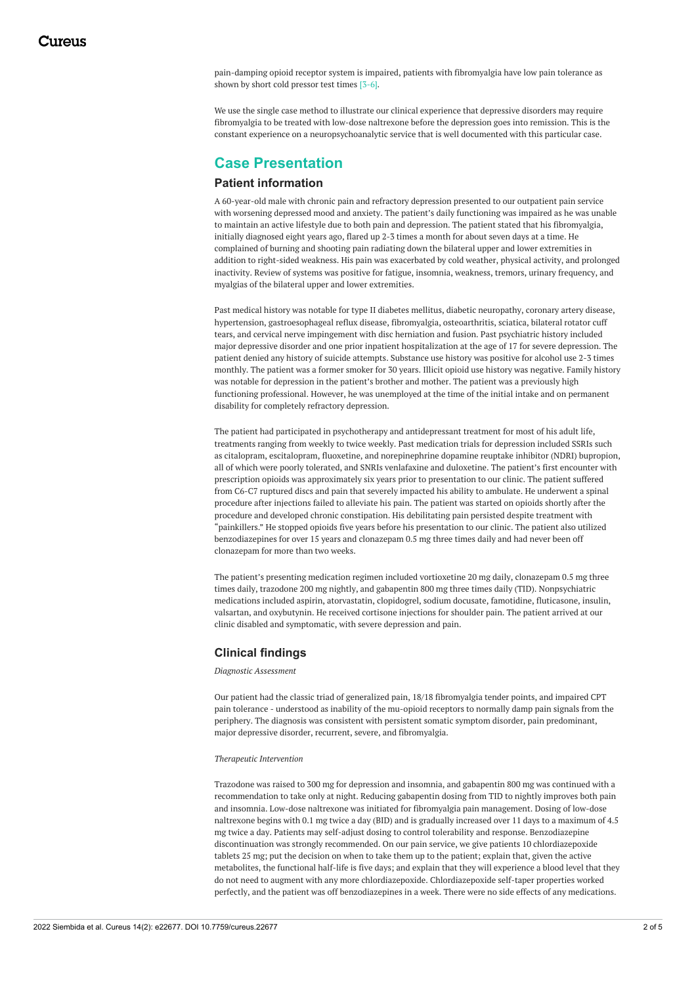pain-damping opioid receptor system is impaired, patients with fibromyalgia have low pain tolerance as shown by short cold pressor test times [3-6].

We use the single case method to illustrate our clinical experience that depressive disorders may require fibromyalgia to be treated with low-dose naltrexone before the depression goes into remission. This is the constant experience on a neuropsychoanalytic service that is well documented with this particular case.

# **Case Presentation**

### **Patient information**

A 60-year-old male with chronic pain and refractory depression presented to our outpatient pain service with worsening depressed mood and anxiety. The patient's daily functioning was impaired as he was unable to maintain an active lifestyle due to both pain and depression. The patient stated that his fibromyalgia, initially diagnosed eight years ago, flared up 2-3 times a month for about seven days at a time. He complained of burning and shooting pain radiating down the bilateral upper and lower extremities in addition to right-sided weakness. His pain was exacerbated by cold weather, physical activity, and prolonged inactivity. Review of systems was positive for fatigue, insomnia, weakness, tremors, urinary frequency, and myalgias of the bilateral upper and lower extremities.

Past medical history was notable for type II diabetes mellitus, diabetic neuropathy, coronary artery disease, hypertension, gastroesophageal reflux disease, fibromyalgia, osteoarthritis, sciatica, bilateral rotator cuff tears, and cervical nerve impingement with disc herniation and fusion. Past psychiatric history included major depressive disorder and one prior inpatient hospitalization at the age of 17 for severe depression. The patient denied any history of suicide attempts. Substance use history was positive for alcohol use 2-3 times monthly. The patient was a former smoker for 30 years. Illicit opioid use history was negative. Family history was notable for depression in the patient's brother and mother. The patient was a previously high functioning professional. However, he was unemployed at the time of the initial intake and on permanent disability for completely refractory depression.

The patient had participated in psychotherapy and antidepressant treatment for most of his adult life, treatments ranging from weekly to twice weekly. Past medication trials for depression included SSRIs such as citalopram, escitalopram, fluoxetine, and norepinephrine dopamine reuptake inhibitor (NDRI) bupropion, all of which were poorly tolerated, and SNRIs venlafaxine and duloxetine. The patient's first encounter with prescription opioids was approximately six years prior to presentation to our clinic. The patient suffered from C6-C7 ruptured discs and pain that severely impacted his ability to ambulate. He underwent a spinal procedure after injections failed to alleviate his pain. The patient was started on opioids shortly after the procedure and developed chronic constipation. His debilitating pain persisted despite treatment with "painkillers." He stopped opioids five years before his presentation to our clinic. The patient also utilized benzodiazepines for over 15 years and clonazepam 0.5 mg three times daily and had never been off clonazepam for more than two weeks.

The patient's presenting medication regimen included vortioxetine 20 mg daily, clonazepam 0.5 mg three times daily, trazodone 200 mg nightly, and gabapentin 800 mg three times daily (TID). Nonpsychiatric medications included aspirin, atorvastatin, clopidogrel, sodium docusate, famotidine, fluticasone, insulin, valsartan, and oxybutynin. He received cortisone injections for shoulder pain. The patient arrived at our clinic disabled and symptomatic, with severe depression and pain.

# **Clinical findings**

*Diagnostic Assessment*

Our patient had the classic triad of generalized pain, 18/18 fibromyalgia tender points, and impaired CPT pain tolerance - understood as inability of the mu-opioid receptors to normally damp pain signals from the periphery. The diagnosis was consistent with persistent somatic symptom disorder, pain predominant, major depressive disorder, recurrent, severe, and fibromyalgia.

#### *Therapeutic Intervention*

Trazodone was raised to 300 mg for depression and insomnia, and gabapentin 800 mg was continued with a recommendation to take only at night. Reducing gabapentin dosing from TID to nightly improves both pain and insomnia. Low-dose naltrexone was initiated for fibromyalgia pain management. Dosing of low-dose naltrexone begins with 0.1 mg twice a day (BID) and is gradually increased over 11 days to a maximum of 4.5 mg twice a day. Patients may self-adjust dosing to control tolerability and response. Benzodiazepine discontinuation was strongly recommended. On our pain service, we give patients 10 chlordiazepoxide tablets 25 mg; put the decision on when to take them up to the patient; explain that, given the active metabolites, the functional half-life is five days; and explain that they will experience a blood level that they do not need to augment with any more chlordiazepoxide. Chlordiazepoxide self-taper properties worked perfectly, and the patient was off benzodiazepines in a week. There were no side effects of any medications.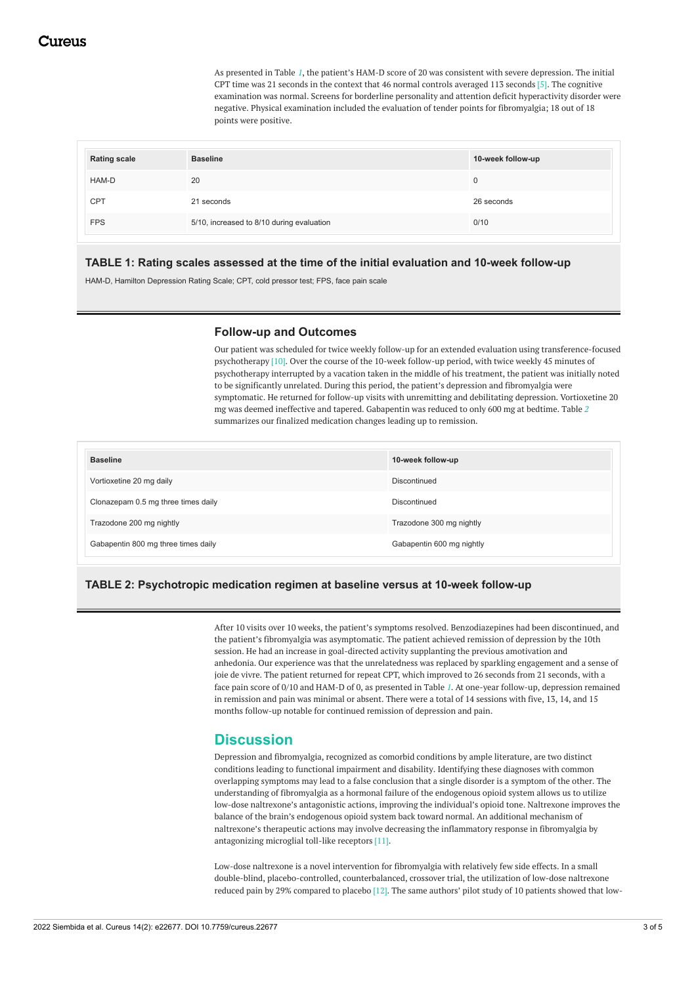As presented in Table *[1](#page-2-0)*, the patient's HAM-D score of 20 was consistent with severe depression. The initial CPT time was 21 seconds in the context that 46 normal controls averaged 113 seconds [5]. The cognitive examination was normal. Screens for borderline personality and attention deficit hyperactivity disorder were negative. Physical examination included the evaluation of tender points for fibromyalgia; 18 out of 18 points were positive.

<span id="page-2-0"></span>

| <b>Rating scale</b> | <b>Baseline</b>                           | 10-week follow-up |
|---------------------|-------------------------------------------|-------------------|
| HAM-D               | 20                                        |                   |
| <b>CPT</b>          | 21 seconds                                | 26 seconds        |
| <b>FPS</b>          | 5/10, increased to 8/10 during evaluation | 0/10              |

## **TABLE 1: Rating scales assessed at the time of the initial evaluation and 10-week follow-up**

HAM-D, Hamilton Depression Rating Scale; CPT, cold pressor test; FPS, face pain scale

### **Follow-up and Outcomes**

Our patient was scheduled for twice weekly follow-up for an extended evaluation using transference-focused psychotherapy [10]. Over the course of the 10-week follow-up period, with twice weekly 45 minutes of psychotherapy interrupted by a vacation taken in the middle of his treatment, the patient was initially noted to be significantly unrelated. During this period, the patient's depression and fibromyalgia were symptomatic. He returned for follow-up visits with unremitting and debilitating depression. Vortioxetine 20 mg was deemed ineffective and tapered. Gabapentin was reduced to only 600 mg at bedtime. Table *[2](#page-2-1)* summarizes our finalized medication changes leading up to remission.

<span id="page-2-1"></span>

| <b>Baseline</b>                     | 10-week follow-up         |
|-------------------------------------|---------------------------|
| Vortioxetine 20 mg daily            | Discontinued              |
| Clonazepam 0.5 mg three times daily | Discontinued              |
| Trazodone 200 mg nightly            | Trazodone 300 mg nightly  |
| Gabapentin 800 mg three times daily | Gabapentin 600 mg nightly |

# **TABLE 2: Psychotropic medication regimen at baseline versus at 10-week follow-up**

After 10 visits over 10 weeks, the patient's symptoms resolved. Benzodiazepines had been discontinued, and the patient's fibromyalgia was asymptomatic. The patient achieved remission of depression by the 10th session. He had an increase in goal-directed activity supplanting the previous amotivation and anhedonia. Our experience was that the unrelatedness was replaced by sparkling engagement and a sense of joie de vivre. The patient returned for repeat CPT, which improved to 26 seconds from 21 seconds, with a face pain score of 0/10 and HAM-D of 0, as presented in Table *[1](#page-2-0)*. At one-year follow-up, depression remained in remission and pain was minimal or absent. There were a total of 14 sessions with five, 13, 14, and 15 months follow-up notable for continued remission of depression and pain.

# **Discussion**

Depression and fibromyalgia, recognized as comorbid conditions by ample literature, are two distinct conditions leading to functional impairment and disability. Identifying these diagnoses with common overlapping symptoms may lead to a false conclusion that a single disorder is a symptom of the other. The understanding of fibromyalgia as a hormonal failure of the endogenous opioid system allows us to utilize low-dose naltrexone's antagonistic actions, improving the individual's opioid tone. Naltrexone improves the balance of the brain's endogenous opioid system back toward normal. An additional mechanism of naltrexone's therapeutic actions may involve decreasing the inflammatory response in fibromyalgia by antagonizing microglial toll-like receptors [11].

Low-dose naltrexone is a novel intervention for fibromyalgia with relatively few side effects. In a small double-blind, placebo-controlled, counterbalanced, crossover trial, the utilization of low-dose naltrexone reduced pain by 29% compared to placebo [12]. The same authors' pilot study of 10 patients showed that low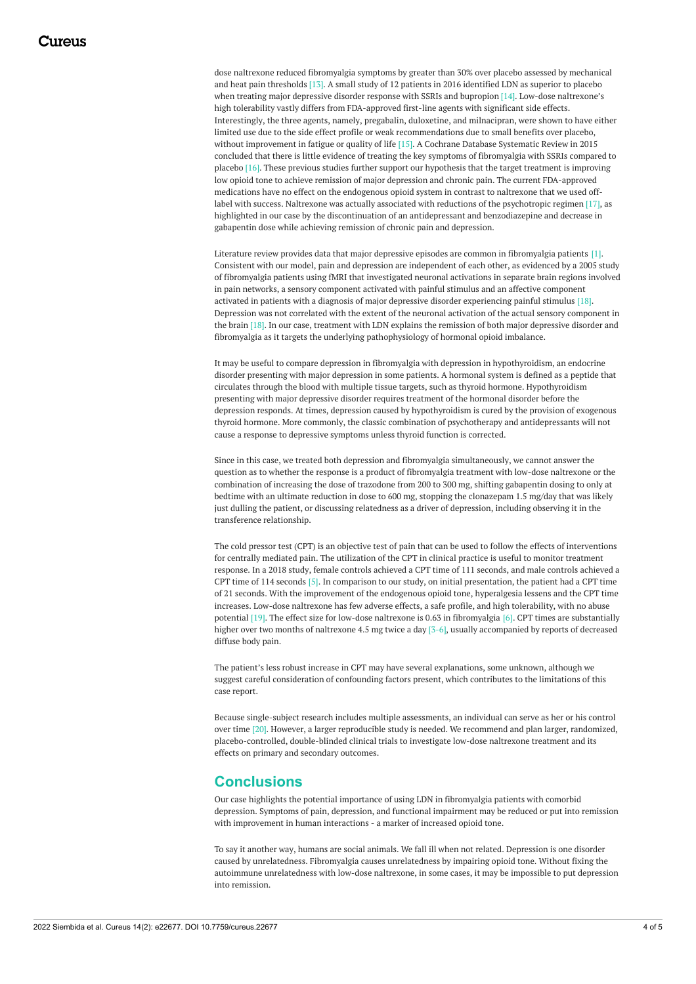dose naltrexone reduced fibromyalgia symptoms by greater than 30% over placebo assessed by mechanical and heat pain thresholds [13]. A small study of 12 patients in 2016 identified LDN as superior to placebo when treating major depressive disorder response with SSRIs and bupropion [14]. Low-dose naltrexone's high tolerability vastly differs from FDA-approved first-line agents with significant side effects. Interestingly, the three agents, namely, pregabalin, duloxetine, and milnacipran, were shown to have either limited use due to the side effect profile or weak recommendations due to small benefits over placebo, without improvement in fatigue or quality of life [15]. A Cochrane Database Systematic Review in 2015 concluded that there is little evidence of treating the key symptoms of fibromyalgia with SSRIs compared to placebo [16]. These previous studies further support our hypothesis that the target treatment is improving low opioid tone to achieve remission of major depression and chronic pain. The current FDA-approved medications have no effect on the endogenous opioid system in contrast to naltrexone that we used offlabel with success. Naltrexone was actually associated with reductions of the psychotropic regimen [17], as highlighted in our case by the discontinuation of an antidepressant and benzodiazepine and decrease in gabapentin dose while achieving remission of chronic pain and depression.

Literature review provides data that major depressive episodes are common in fibromyalgia patients [1]. Consistent with our model, pain and depression are independent of each other, as evidenced by a 2005 study of fibromyalgia patients using fMRI that investigated neuronal activations in separate brain regions involved in pain networks, a sensory component activated with painful stimulus and an affective component activated in patients with a diagnosis of major depressive disorder experiencing painful stimulus [18]. Depression was not correlated with the extent of the neuronal activation of the actual sensory component in the brain [18]. In our case, treatment with LDN explains the remission of both major depressive disorder and fibromyalgia as it targets the underlying pathophysiology of hormonal opioid imbalance.

It may be useful to compare depression in fibromyalgia with depression in hypothyroidism, an endocrine disorder presenting with major depression in some patients. A hormonal system is defined as a peptide that circulates through the blood with multiple tissue targets, such as thyroid hormone. Hypothyroidism presenting with major depressive disorder requires treatment of the hormonal disorder before the depression responds. At times, depression caused by hypothyroidism is cured by the provision of exogenous thyroid hormone. More commonly, the classic combination of psychotherapy and antidepressants will not cause a response to depressive symptoms unless thyroid function is corrected.

Since in this case, we treated both depression and fibromyalgia simultaneously, we cannot answer the question as to whether the response is a product of fibromyalgia treatment with low-dose naltrexone or the combination of increasing the dose of trazodone from 200 to 300 mg, shifting gabapentin dosing to only at bedtime with an ultimate reduction in dose to 600 mg, stopping the clonazepam 1.5 mg/day that was likely just dulling the patient, or discussing relatedness as a driver of depression, including observing it in the transference relationship.

The cold pressor test (CPT) is an objective test of pain that can be used to follow the effects of interventions for centrally mediated pain. The utilization of the CPT in clinical practice is useful to monitor treatment response. In a 2018 study, female controls achieved a CPT time of 111 seconds, and male controls achieved a CPT time of 114 seconds [5]. In comparison to our study, on initial presentation, the patient had a CPT time of 21 seconds. With the improvement of the endogenous opioid tone, hyperalgesia lessens and the CPT time increases. Low-dose naltrexone has few adverse effects, a safe profile, and high tolerability, with no abuse potential [19]. The effect size for low-dose naltrexone is 0.63 in fibromyalgia [6]. CPT times are substantially higher over two months of naltrexone 4.5 mg twice a day [3-6], usually accompanied by reports of decreased diffuse body pain.

The patient's less robust increase in CPT may have several explanations, some unknown, although we suggest careful consideration of confounding factors present, which contributes to the limitations of this case report.

Because single-subject research includes multiple assessments, an individual can serve as her or his control over time [20]. However, a larger reproducible study is needed. We recommend and plan larger, randomized, placebo-controlled, double-blinded clinical trials to investigate low-dose naltrexone treatment and its effects on primary and secondary outcomes.

# **Conclusions**

Our case highlights the potential importance of using LDN in fibromyalgia patients with comorbid depression. Symptoms of pain, depression, and functional impairment may be reduced or put into remission with improvement in human interactions - a marker of increased opioid tone.

To say it another way, humans are social animals. We fall ill when not related. Depression is one disorder caused by unrelatedness. Fibromyalgia causes unrelatedness by impairing opioid tone. Without fixing the autoimmune unrelatedness with low-dose naltrexone, in some cases, it may be impossible to put depression into remission.